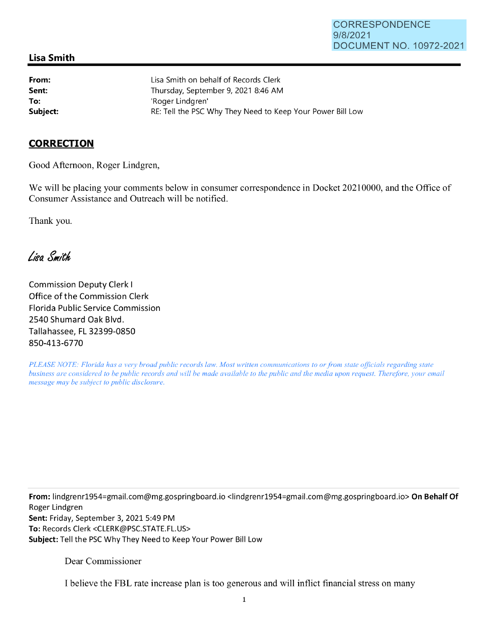## **Lisa Smith**

**From: Sent: To:** 

Lisa Smith on behalf of Records Clerk Thursday, September 9, 2021 8:46 **AM**  'Roger Lindgren' Subject: **Subject: RE: Tell the PSC Why They Need to Keep Your Power Bill Low** 

## **CORRECTION**

Good Afternoon, Roger Lindgren,

We will be placing your comments below in consumer correspondence in Docket 20210000, and the Office of Consumer Assistance and Outreach will be notified.

Thank you.

Lisa Smith

Commission Deputy Clerk I Office of the Commission Clerk Florida Public Service Commission 2540 Shumard Oak Blvd. Tallahassee, FL 32399-0850 850-413-6770

*PLEASE NOTE: Florida has a very broad public records law. Most written communications to or from state officials regarding state business are considered to be public records and will be made available to the public and the media upon request. Therefore, your email message may be subject to public disclosure.* 

**From:** lindgrenr1954=gmail.com@mg.gospringboard.io <lindgrenr1954=gmail.com@mg.gospringboard.io> **On Behalf Of**  Roger Lindgren **Sent:** Friday, September 3, 2021 5:49 PM **To:** Records Clerk <CLERK@PSC.STATE.FL.US> **Subject:** Tell the PSC Why They Need to Keep Your Power Bill Low

Dear Commissioner

I believe the FBL rate increase plan is too generous and will inflict financial stress on many